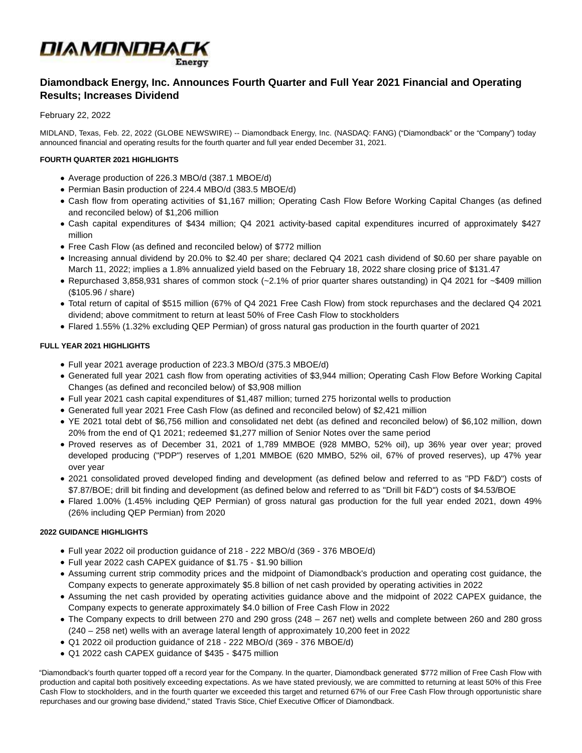

# **Diamondback Energy, Inc. Announces Fourth Quarter and Full Year 2021 Financial and Operating Results; Increases Dividend**

February 22, 2022

MIDLAND, Texas, Feb. 22, 2022 (GLOBE NEWSWIRE) -- Diamondback Energy, Inc. (NASDAQ: FANG) ("Diamondback" or the "Company") today announced financial and operating results for the fourth quarter and full year ended December 31, 2021.

# **FOURTH QUARTER 2021 HIGHLIGHTS**

- Average production of 226.3 MBO/d (387.1 MBOE/d)
- Permian Basin production of 224.4 MBO/d (383.5 MBOE/d)
- Cash flow from operating activities of \$1,167 million; Operating Cash Flow Before Working Capital Changes (as defined and reconciled below) of \$1,206 million
- Cash capital expenditures of \$434 million; Q4 2021 activity-based capital expenditures incurred of approximately \$427 million
- Free Cash Flow (as defined and reconciled below) of \$772 million
- Increasing annual dividend by 20.0% to \$2.40 per share; declared Q4 2021 cash dividend of \$0.60 per share payable on March 11, 2022; implies a 1.8% annualized yield based on the February 18, 2022 share closing price of \$131.47
- Repurchased 3,858,931 shares of common stock (~2.1% of prior quarter shares outstanding) in Q4 2021 for ~\$409 million (\$105.96 / share)
- Total return of capital of \$515 million (67% of Q4 2021 Free Cash Flow) from stock repurchases and the declared Q4 2021 dividend; above commitment to return at least 50% of Free Cash Flow to stockholders
- Flared 1.55% (1.32% excluding QEP Permian) of gross natural gas production in the fourth quarter of 2021

# **FULL YEAR 2021 HIGHLIGHTS**

- Full year 2021 average production of 223.3 MBO/d (375.3 MBOE/d)
- Generated full year 2021 cash flow from operating activities of \$3,944 million; Operating Cash Flow Before Working Capital Changes (as defined and reconciled below) of \$3,908 million
- Full year 2021 cash capital expenditures of \$1,487 million; turned 275 horizontal wells to production
- Generated full year 2021 Free Cash Flow (as defined and reconciled below) of \$2,421 million
- YE 2021 total debt of \$6,756 million and consolidated net debt (as defined and reconciled below) of \$6,102 million, down 20% from the end of Q1 2021; redeemed \$1,277 million of Senior Notes over the same period
- Proved reserves as of December 31, 2021 of 1,789 MMBOE (928 MMBO, 52% oil), up 36% year over year; proved developed producing ("PDP") reserves of 1,201 MMBOE (620 MMBO, 52% oil, 67% of proved reserves), up 47% year over year
- 2021 consolidated proved developed finding and development (as defined below and referred to as "PD F&D") costs of \$7.87/BOE; drill bit finding and development (as defined below and referred to as "Drill bit F&D") costs of \$4.53/BOE
- Flared 1.00% (1.45% including QEP Permian) of gross natural gas production for the full year ended 2021, down 49% (26% including QEP Permian) from 2020

## **2022 GUIDANCE HIGHLIGHTS**

- Full year 2022 oil production guidance of 218 222 MBO/d (369 376 MBOE/d)
- Full year 2022 cash CAPEX guidance of \$1.75 \$1.90 billion
- Assuming current strip commodity prices and the midpoint of Diamondback's production and operating cost guidance, the Company expects to generate approximately \$5.8 billion of net cash provided by operating activities in 2022
- Assuming the net cash provided by operating activities guidance above and the midpoint of 2022 CAPEX guidance, the Company expects to generate approximately \$4.0 billion of Free Cash Flow in 2022
- The Company expects to drill between 270 and 290 gross (248 267 net) wells and complete between 260 and 280 gross (240 – 258 net) wells with an average lateral length of approximately 10,200 feet in 2022
- Q1 2022 oil production guidance of 218 222 MBO/d (369 376 MBOE/d)
- Q1 2022 cash CAPEX guidance of \$435 \$475 million

"Diamondback's fourth quarter topped off a record year for the Company. In the quarter, Diamondback generated \$772 million of Free Cash Flow with production and capital both positively exceeding expectations. As we have stated previously, we are committed to returning at least 50% of this Free Cash Flow to stockholders, and in the fourth quarter we exceeded this target and returned 67% of our Free Cash Flow through opportunistic share repurchases and our growing base dividend," stated Travis Stice, Chief Executive Officer of Diamondback.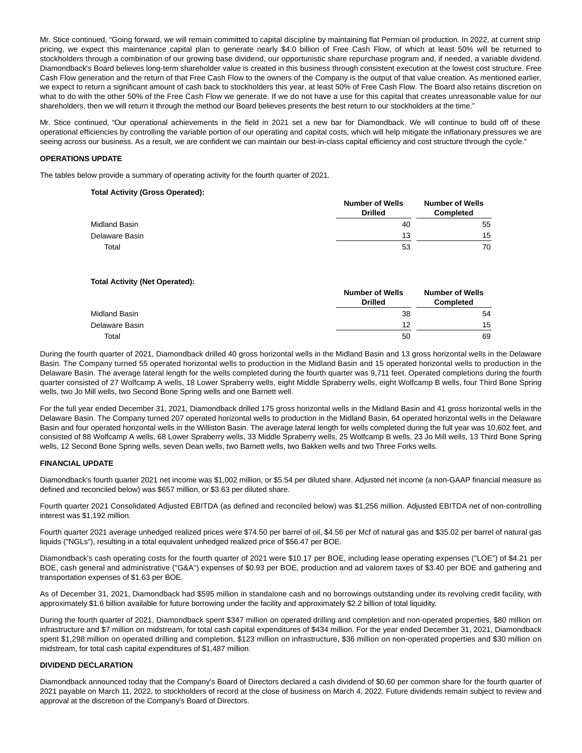Mr. Stice continued, "Going forward, we will remain committed to capital discipline by maintaining flat Permian oil production. In 2022, at current strip pricing, we expect this maintenance capital plan to generate nearly \$4.0 billion of Free Cash Flow, of which at least 50% will be returned to stockholders through a combination of our growing base dividend, our opportunistic share repurchase program and, if needed, a variable dividend. Diamondback's Board believes long-term shareholder value is created in this business through consistent execution at the lowest cost structure. Free Cash Flow generation and the return of that Free Cash Flow to the owners of the Company is the output of that value creation. As mentioned earlier, we expect to return a significant amount of cash back to stockholders this year, at least 50% of Free Cash Flow. The Board also retains discretion on what to do with the other 50% of the Free Cash Flow we generate. If we do not have a use for this capital that creates unreasonable value for our shareholders, then we will return it through the method our Board believes presents the best return to our stockholders at the time."

Mr. Stice continued, "Our operational achievements in the field in 2021 set a new bar for Diamondback. We will continue to build off of these operational efficiencies by controlling the variable portion of our operating and capital costs, which will help mitigate the inflationary pressures we are seeing across our business. As a result, we are confident we can maintain our best-in-class capital efficiency and cost structure through the cycle."

#### **OPERATIONS UPDATE**

The tables below provide a summary of operating activity for the fourth quarter of 2021.

#### **Total Activity (Gross Operated):**

|                | <b>Number of Wells</b><br><b>Drilled</b> | <b>Number of Wells</b><br><b>Completed</b> |  |  |
|----------------|------------------------------------------|--------------------------------------------|--|--|
| Midland Basin  | 40                                       | 55                                         |  |  |
| Delaware Basin | 13                                       | 15                                         |  |  |
| Total          | 53                                       | 70                                         |  |  |

#### **Total Activity (Net Operated):**

|                | <b>Number of Wells</b><br><b>Drilled</b> | <b>Number of Wells</b><br><b>Completed</b> |  |  |
|----------------|------------------------------------------|--------------------------------------------|--|--|
| Midland Basin  | 38                                       | 54                                         |  |  |
| Delaware Basin | 12                                       | 15                                         |  |  |
| Total          | 50                                       | 69                                         |  |  |

During the fourth quarter of 2021, Diamondback drilled 40 gross horizontal wells in the Midland Basin and 13 gross horizontal wells in the Delaware Basin. The Company turned 55 operated horizontal wells to production in the Midland Basin and 15 operated horizontal wells to production in the Delaware Basin. The average lateral length for the wells completed during the fourth quarter was 9,711 feet. Operated completions during the fourth quarter consisted of 27 Wolfcamp A wells, 18 Lower Spraberry wells, eight Middle Spraberry wells, eight Wolfcamp B wells, four Third Bone Spring wells, two Jo Mill wells, two Second Bone Spring wells and one Barnett well.

For the full year ended December 31, 2021, Diamondback drilled 175 gross horizontal wells in the Midland Basin and 41 gross horizontal wells in the Delaware Basin. The Company turned 207 operated horizontal wells to production in the Midland Basin, 64 operated horizontal wells in the Delaware Basin and four operated horizontal wells in the Williston Basin. The average lateral length for wells completed during the full year was 10,602 feet, and consisted of 88 Wolfcamp A wells, 68 Lower Spraberry wells, 33 Middle Spraberry wells, 25 Wolfcamp B wells, 23 Jo Mill wells, 13 Third Bone Spring wells, 12 Second Bone Spring wells, seven Dean wells, two Barnett wells, two Bakken wells and two Three Forks wells.

#### **FINANCIAL UPDATE**

Diamondback's fourth quarter 2021 net income was \$1,002 million, or \$5.54 per diluted share. Adjusted net income (a non-GAAP financial measure as defined and reconciled below) was \$657 million, or \$3.63 per diluted share.

Fourth quarter 2021 Consolidated Adjusted EBITDA (as defined and reconciled below) was \$1,256 million. Adjusted EBITDA net of non-controlling interest was \$1,192 million.

Fourth quarter 2021 average unhedged realized prices were \$74.50 per barrel of oil, \$4.56 per Mcf of natural gas and \$35.02 per barrel of natural gas liquids ("NGLs"), resulting in a total equivalent unhedged realized price of \$56.47 per BOE.

Diamondback's cash operating costs for the fourth quarter of 2021 were \$10.17 per BOE, including lease operating expenses ("LOE") of \$4.21 per BOE, cash general and administrative ("G&A") expenses of \$0.93 per BOE, production and ad valorem taxes of \$3.40 per BOE and gathering and transportation expenses of \$1.63 per BOE.

As of December 31, 2021, Diamondback had \$595 million in standalone cash and no borrowings outstanding under its revolving credit facility, with approximately \$1.6 billion available for future borrowing under the facility and approximately \$2.2 billion of total liquidity.

During the fourth quarter of 2021, Diamondback spent \$347 million on operated drilling and completion and non-operated properties, \$80 million on infrastructure and \$7 million on midstream, for total cash capital expenditures of \$434 million. For the year ended December 31, 2021, Diamondback spent \$1,298 million on operated drilling and completion, \$123 million on infrastructure, \$36 million on non-operated properties and \$30 million on midstream, for total cash capital expenditures of \$1,487 million.

### **DIVIDEND DECLARATION**

Diamondback announced today that the Company's Board of Directors declared a cash dividend of \$0.60 per common share for the fourth quarter of 2021 payable on March 11, 2022, to stockholders of record at the close of business on March 4, 2022. Future dividends remain subject to review and approval at the discretion of the Company's Board of Directors.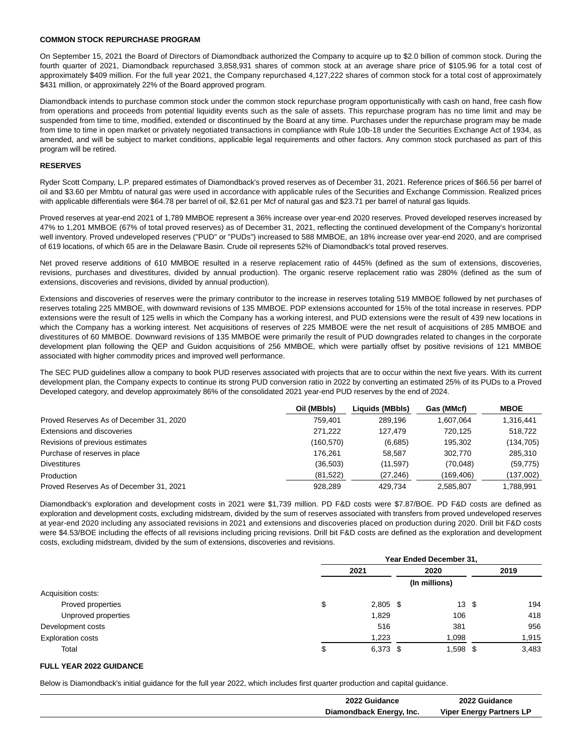#### **COMMON STOCK REPURCHASE PROGRAM**

On September 15, 2021 the Board of Directors of Diamondback authorized the Company to acquire up to \$2.0 billion of common stock. During the fourth quarter of 2021, Diamondback repurchased 3,858,931 shares of common stock at an average share price of \$105.96 for a total cost of approximately \$409 million. For the full year 2021, the Company repurchased 4,127,222 shares of common stock for a total cost of approximately \$431 million, or approximately 22% of the Board approved program.

Diamondback intends to purchase common stock under the common stock repurchase program opportunistically with cash on hand, free cash flow from operations and proceeds from potential liquidity events such as the sale of assets. This repurchase program has no time limit and may be suspended from time to time, modified, extended or discontinued by the Board at any time. Purchases under the repurchase program may be made from time to time in open market or privately negotiated transactions in compliance with Rule 10b-18 under the Securities Exchange Act of 1934, as amended, and will be subject to market conditions, applicable legal requirements and other factors. Any common stock purchased as part of this program will be retired.

#### **RESERVES**

Ryder Scott Company, L.P. prepared estimates of Diamondback's proved reserves as of December 31, 2021. Reference prices of \$66.56 per barrel of oil and \$3.60 per Mmbtu of natural gas were used in accordance with applicable rules of the Securities and Exchange Commission. Realized prices with applicable differentials were \$64.78 per barrel of oil, \$2.61 per Mcf of natural gas and \$23.71 per barrel of natural gas liquids.

Proved reserves at year-end 2021 of 1,789 MMBOE represent a 36% increase over year-end 2020 reserves. Proved developed reserves increased by 47% to 1,201 MMBOE (67% of total proved reserves) as of December 31, 2021, reflecting the continued development of the Company's horizontal well inventory. Proved undeveloped reserves ("PUD" or "PUDs") increased to 588 MMBOE, an 18% increase over year-end 2020, and are comprised of 619 locations, of which 65 are in the Delaware Basin. Crude oil represents 52% of Diamondback's total proved reserves.

Net proved reserve additions of 610 MMBOE resulted in a reserve replacement ratio of 445% (defined as the sum of extensions, discoveries, revisions, purchases and divestitures, divided by annual production). The organic reserve replacement ratio was 280% (defined as the sum of extensions, discoveries and revisions, divided by annual production).

Extensions and discoveries of reserves were the primary contributor to the increase in reserves totaling 519 MMBOE followed by net purchases of reserves totaling 225 MMBOE, with downward revisions of 135 MMBOE. PDP extensions accounted for 15% of the total increase in reserves. PDP extensions were the result of 125 wells in which the Company has a working interest, and PUD extensions were the result of 439 new locations in which the Company has a working interest. Net acquisitions of reserves of 225 MMBOE were the net result of acquisitions of 285 MMBOE and divestitures of 60 MMBOE. Downward revisions of 135 MMBOE were primarily the result of PUD downgrades related to changes in the corporate development plan following the QEP and Guidon acquisitions of 256 MMBOE, which were partially offset by positive revisions of 121 MMBOE associated with higher commodity prices and improved well performance.

The SEC PUD guidelines allow a company to book PUD reserves associated with projects that are to occur within the next five years. With its current development plan, the Company expects to continue its strong PUD conversion ratio in 2022 by converting an estimated 25% of its PUDs to a Proved Developed category, and develop approximately 86% of the consolidated 2021 year-end PUD reserves by the end of 2024.

|                                         | Oil (MBbls) | Liquids (MBbls) | Gas (MMcf) | <b>MBOE</b> |
|-----------------------------------------|-------------|-----------------|------------|-------------|
| Proved Reserves As of December 31, 2020 | 759.401     | 289.196         | 1.607.064  | 1,316,441   |
| Extensions and discoveries              | 271.222     | 127.479         | 720.125    | 518.722     |
| Revisions of previous estimates         | (160, 570)  | (6,685)         | 195.302    | (134, 705)  |
| Purchase of reserves in place           | 176.261     | 58.587          | 302.770    | 285,310     |
| <b>Divestitures</b>                     | (36,503)    | (11, 597)       | (70,048)   | (59, 775)   |
| Production                              | (81,522)    | (27, 246)       | (169,406)  | (137,002)   |
| Proved Reserves As of December 31, 2021 | 928.289     | 429.734         | 2,585,807  | 1,788,991   |

Diamondback's exploration and development costs in 2021 were \$1,739 million. PD F&D costs were \$7.87/BOE. PD F&D costs are defined as exploration and development costs, excluding midstream, divided by the sum of reserves associated with transfers from proved undeveloped reserves at year-end 2020 including any associated revisions in 2021 and extensions and discoveries placed on production during 2020. Drill bit F&D costs were \$4.53/BOE including the effects of all revisions including pricing revisions. Drill bit F&D costs are defined as the exploration and development costs, excluding midstream, divided by the sum of extensions, discoveries and revisions.

|                          | Year Ended December 31, |            |  |          |  |       |  |  |  |  |
|--------------------------|-------------------------|------------|--|----------|--|-------|--|--|--|--|
|                          |                         | 2021       |  | 2020     |  | 2019  |  |  |  |  |
|                          | (In millions)           |            |  |          |  |       |  |  |  |  |
| Acquisition costs:       |                         |            |  |          |  |       |  |  |  |  |
| Proved properties        | \$                      | $2,805$ \$ |  | 13S      |  | 194   |  |  |  |  |
| Unproved properties      |                         | 1,829      |  | 106      |  | 418   |  |  |  |  |
| Development costs        |                         | 516        |  | 381      |  | 956   |  |  |  |  |
| <b>Exploration costs</b> |                         | 1,223      |  | 1,098    |  | 1,915 |  |  |  |  |
| Total                    | \$                      | $6,373$ \$ |  | 1,598 \$ |  | 3,483 |  |  |  |  |

#### **FULL YEAR 2022 GUIDANCE**

Below is Diamondback's initial guidance for the full year 2022, which includes first quarter production and capital guidance.

| 2022 Guidance            | 2022 Guidance                   |
|--------------------------|---------------------------------|
| Diamondback Energy, Inc. | <b>Viper Energy Partners LP</b> |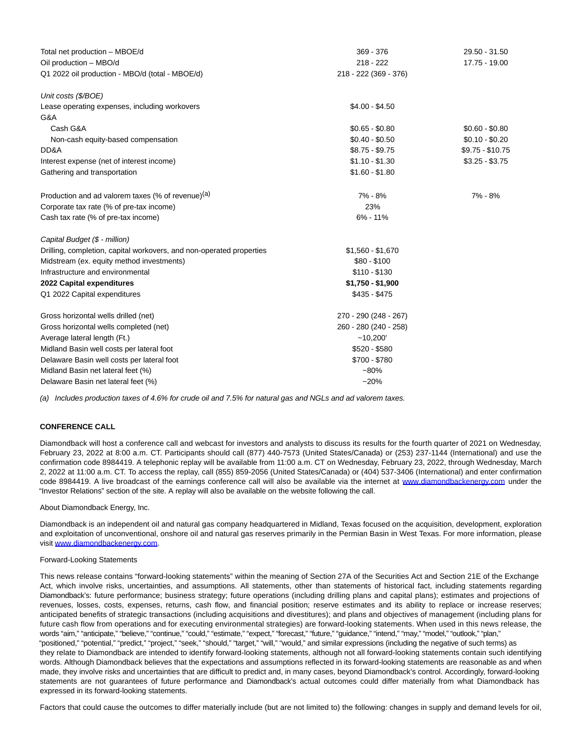| Total net production - MBOE/d                                        | $369 - 376$           | 29.50 - 31.50    |
|----------------------------------------------------------------------|-----------------------|------------------|
| Oil production - MBO/d                                               | $218 - 222$           | 17.75 - 19.00    |
| Q1 2022 oil production - MBO/d (total - MBOE/d)                      | 218 - 222 (369 - 376) |                  |
| Unit costs (\$/BOE)                                                  |                       |                  |
| Lease operating expenses, including workovers                        | $$4.00 - $4.50$       |                  |
| G&A                                                                  |                       |                  |
| Cash G&A                                                             | $$0.65 - $0.80$       | $$0.60 - $0.80$  |
| Non-cash equity-based compensation                                   | $$0.40 - $0.50$       | $$0.10 - $0.20$  |
| DD&A                                                                 | $$8.75 - $9.75$       | $$9.75 - $10.75$ |
| Interest expense (net of interest income)                            | $$1.10 - $1.30$       | $$3.25 - $3.75$  |
| Gathering and transportation                                         | $$1.60 - $1.80$       |                  |
| Production and ad valorem taxes (% of revenue) <sup>(a)</sup>        | 7% - 8%               | $7\% - 8\%$      |
| Corporate tax rate (% of pre-tax income)                             | 23%                   |                  |
| Cash tax rate (% of pre-tax income)                                  | $6\% - 11\%$          |                  |
| Capital Budget (\$ - million)                                        |                       |                  |
| Drilling, completion, capital workovers, and non-operated properties | $$1,560 - $1,670$     |                  |
| Midstream (ex. equity method investments)                            | $$80 - $100$          |                  |
| Infrastructure and environmental                                     | $$110 - $130$         |                  |
| 2022 Capital expenditures                                            | $$1,750 - $1,900$     |                  |
| Q1 2022 Capital expenditures                                         | $$435 - $475$         |                  |
| Gross horizontal wells drilled (net)                                 | 270 - 290 (248 - 267) |                  |
| Gross horizontal wells completed (net)                               | 260 - 280 (240 - 258) |                  |
| Average lateral length (Ft.)                                         | $-10,200'$            |                  |
| Midland Basin well costs per lateral foot                            | $$520 - $580$         |                  |
| Delaware Basin well costs per lateral foot                           | \$700 - \$780         |                  |
| Midland Basin net lateral feet (%)                                   | $-80%$                |                  |
| Delaware Basin net lateral feet (%)                                  | $-20%$                |                  |

(a) Includes production taxes of 4.6% for crude oil and 7.5% for natural gas and NGLs and ad valorem taxes.

#### **CONFERENCE CALL**

Diamondback will host a conference call and webcast for investors and analysts to discuss its results for the fourth quarter of 2021 on Wednesday, February 23, 2022 at 8:00 a.m. CT. Participants should call (877) 440-7573 (United States/Canada) or (253) 237-1144 (International) and use the confirmation code 8984419. A telephonic replay will be available from 11:00 a.m. CT on Wednesday, February 23, 2022, through Wednesday, March 2, 2022 at 11:00 a.m. CT. To access the replay, call (855) 859-2056 (United States/Canada) or (404) 537-3406 (International) and enter confirmation code 8984419. A live broadcast of the earnings conference call will also be available via the internet at [www.diamondbackenergy.com](http://www.diamondbackenergy.com/) under the "Investor Relations" section of the site. A replay will also be available on the website following the call.

#### About Diamondback Energy, Inc.

Diamondback is an independent oil and natural gas company headquartered in Midland, Texas focused on the acquisition, development, exploration and exploitation of unconventional, onshore oil and natural gas reserves primarily in the Permian Basin in West Texas. For more information, please visit [www.diamondbackenergy.com.](http://www.diamondbackenergy.com/)

#### Forward-Looking Statements

This news release contains "forward-looking statements" within the meaning of Section 27A of the Securities Act and Section 21E of the Exchange Act, which involve risks, uncertainties, and assumptions. All statements, other than statements of historical fact, including statements regarding Diamondback's: future performance; business strategy; future operations (including drilling plans and capital plans); estimates and projections of revenues, losses, costs, expenses, returns, cash flow, and financial position; reserve estimates and its ability to replace or increase reserves; anticipated benefits of strategic transactions (including acquisitions and divestitures); and plans and objectives of management (including plans for future cash flow from operations and for executing environmental strategies) are forward-looking statements. When used in this news release, the words "aim," "anticipate," "believe," "continue," "could," "estimate," "expect," "forecast," "future," "guidance," "intend," "may," "model," "outlook," "plan," "positioned," "potential," "predict," "project," "seek," "should," "target," "will," "would," and similar expressions (including the negative of such terms) as they relate to Diamondback are intended to identify forward-looking statements, although not all forward-looking statements contain such identifying words. Although Diamondback believes that the expectations and assumptions reflected in its forward-looking statements are reasonable as and when made, they involve risks and uncertainties that are difficult to predict and, in many cases, beyond Diamondback's control. Accordingly, forward-looking statements are not guarantees of future performance and Diamondback's actual outcomes could differ materially from what Diamondback has expressed in its forward-looking statements.

Factors that could cause the outcomes to differ materially include (but are not limited to) the following: changes in supply and demand levels for oil,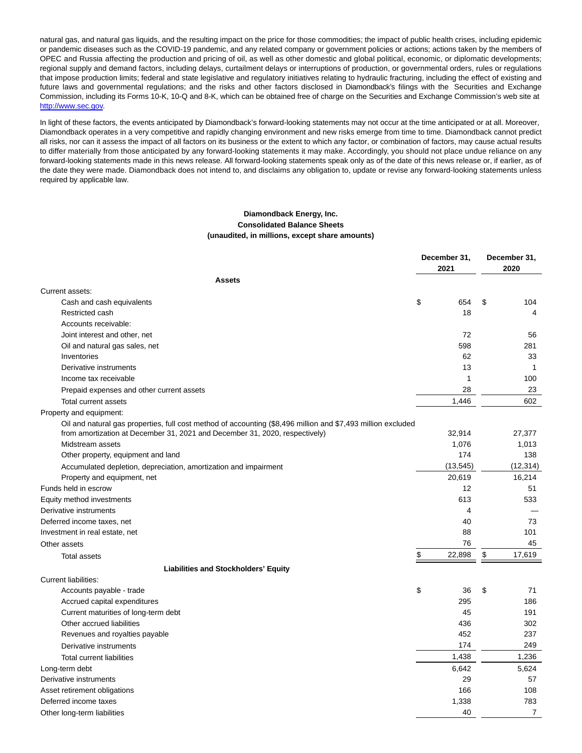natural gas, and natural gas liquids, and the resulting impact on the price for those commodities; the impact of public health crises, including epidemic or pandemic diseases such as the COVID-19 pandemic, and any related company or government policies or actions; actions taken by the members of OPEC and Russia affecting the production and pricing of oil, as well as other domestic and global political, economic, or diplomatic developments; regional supply and demand factors, including delays, curtailment delays or interruptions of production, or governmental orders, rules or regulations that impose production limits; federal and state legislative and regulatory initiatives relating to hydraulic fracturing, including the effect of existing and future laws and governmental regulations; and the risks and other factors disclosed in Diamondback's filings with the Securities and Exchange Commission, including its Forms 10-K, 10-Q and 8-K, which can be obtained free of charge on the Securities and Exchange Commission's web site at [http://www.sec.gov.](http://www.sec.gov/)

In light of these factors, the events anticipated by Diamondback's forward-looking statements may not occur at the time anticipated or at all. Moreover, Diamondback operates in a very competitive and rapidly changing environment and new risks emerge from time to time. Diamondback cannot predict all risks, nor can it assess the impact of all factors on its business or the extent to which any factor, or combination of factors, may cause actual results to differ materially from those anticipated by any forward-looking statements it may make. Accordingly, you should not place undue reliance on any forward-looking statements made in this news release. All forward-looking statements speak only as of the date of this news release or, if earlier, as of the date they were made. Diamondback does not intend to, and disclaims any obligation to, update or revise any forward-looking statements unless required by applicable law.

## **Diamondback Energy, Inc. Consolidated Balance Sheets (unaudited, in millions, except share amounts)**

|                                                                                                              | December 31, | December 31,   |
|--------------------------------------------------------------------------------------------------------------|--------------|----------------|
| <b>Assets</b>                                                                                                | 2021         | 2020           |
| Current assets:                                                                                              |              |                |
| Cash and cash equivalents                                                                                    | \$<br>654    | \$<br>104      |
| Restricted cash                                                                                              | 18           | 4              |
| Accounts receivable:                                                                                         |              |                |
| Joint interest and other, net                                                                                | 72           | 56             |
| Oil and natural gas sales, net                                                                               | 598          | 281            |
| Inventories                                                                                                  | 62           | 33             |
| Derivative instruments                                                                                       | 13           | $\mathbf{1}$   |
| Income tax receivable                                                                                        | 1            | 100            |
| Prepaid expenses and other current assets                                                                    | 28           | 23             |
| Total current assets                                                                                         | 1,446        | 602            |
| Property and equipment:                                                                                      |              |                |
| Oil and natural gas properties, full cost method of accounting (\$8,496 million and \$7,493 million excluded |              |                |
| from amortization at December 31, 2021 and December 31, 2020, respectively)                                  | 32,914       | 27,377         |
| Midstream assets                                                                                             | 1,076        | 1,013          |
| Other property, equipment and land                                                                           | 174          | 138            |
| Accumulated depletion, depreciation, amortization and impairment                                             | (13, 545)    | (12, 314)      |
| Property and equipment, net                                                                                  | 20,619       | 16,214         |
| Funds held in escrow                                                                                         | 12           | 51             |
| Equity method investments                                                                                    | 613          | 533            |
| Derivative instruments                                                                                       | 4            |                |
| Deferred income taxes, net                                                                                   | 40           | 73             |
| Investment in real estate, net                                                                               | 88           | 101            |
| Other assets                                                                                                 | 76           | 45             |
| <b>Total assets</b>                                                                                          | \$<br>22,898 | \$<br>17,619   |
| Liabilities and Stockholders' Equity                                                                         |              |                |
| Current liabilities:                                                                                         |              |                |
| Accounts payable - trade                                                                                     | \$<br>36     | \$<br>71       |
| Accrued capital expenditures                                                                                 | 295          | 186            |
| Current maturities of long-term debt                                                                         | 45           | 191            |
| Other accrued liabilities                                                                                    | 436          | 302            |
| Revenues and royalties payable                                                                               | 452          | 237            |
| Derivative instruments                                                                                       | 174          | 249            |
| <b>Total current liabilities</b>                                                                             | 1,438        | 1,236          |
| Long-term debt                                                                                               | 6,642        | 5,624          |
| Derivative instruments                                                                                       | 29           | 57             |
| Asset retirement obligations                                                                                 | 166          | 108            |
| Deferred income taxes                                                                                        | 1,338        | 783            |
| Other long-term liabilities                                                                                  | 40           | $\overline{7}$ |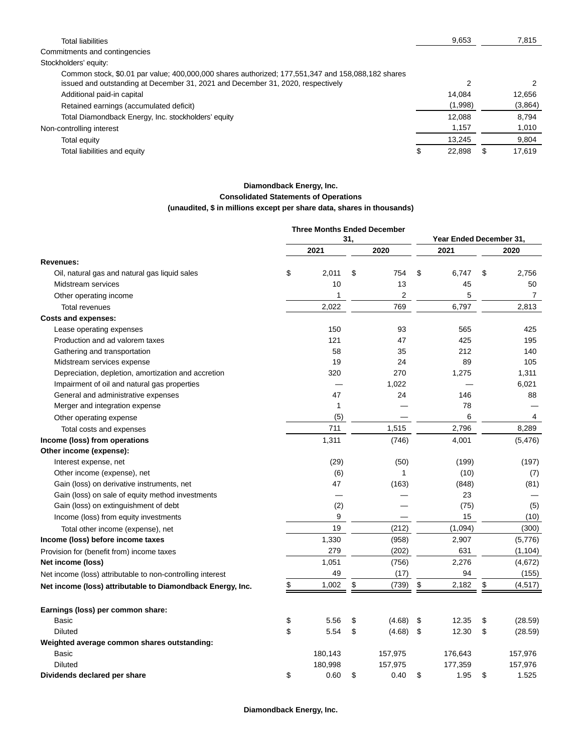| <b>Total liabilities</b>                                                                                                                                                             | 9,653        | 7,815   |
|--------------------------------------------------------------------------------------------------------------------------------------------------------------------------------------|--------------|---------|
| Commitments and contingencies                                                                                                                                                        |              |         |
| Stockholders' equity:                                                                                                                                                                |              |         |
| Common stock, \$0.01 par value; 400,000,000 shares authorized; 177,551,347 and 158,088,182 shares<br>issued and outstanding at December 31, 2021 and December 31, 2020, respectively |              |         |
| Additional paid-in capital                                                                                                                                                           | 14.084       | 12.656  |
| Retained earnings (accumulated deficit)                                                                                                                                              | (1,998)      | (3,864) |
| Total Diamondback Energy, Inc. stockholders' equity                                                                                                                                  | 12.088       | 8.794   |
| Non-controlling interest                                                                                                                                                             | 1,157        | 1,010   |
| Total equity                                                                                                                                                                         | 13.245       | 9,804   |
| Total liabilities and equity                                                                                                                                                         | \$<br>22.898 | 17,619  |

# **Diamondback Energy, Inc. Consolidated Statements of Operations (unaudited, \$ in millions except per share data, shares in thousands)**

|                                                            | <b>Three Months Ended December</b> |         |     |         |                         |         |    |          |  |
|------------------------------------------------------------|------------------------------------|---------|-----|---------|-------------------------|---------|----|----------|--|
|                                                            |                                    |         | 31, |         | Year Ended December 31, |         |    |          |  |
|                                                            |                                    | 2021    |     | 2020    |                         | 2021    |    | 2020     |  |
| Revenues:                                                  |                                    |         |     |         |                         |         |    |          |  |
| Oil, natural gas and natural gas liquid sales              | \$                                 | 2,011   | \$  | 754     | \$                      | 6,747   | \$ | 2,756    |  |
| Midstream services                                         |                                    | 10      |     | 13      |                         | 45      |    | 50       |  |
| Other operating income                                     |                                    | 1       |     | 2       |                         | 5       |    | 7        |  |
| Total revenues                                             |                                    | 2,022   |     | 769     |                         | 6,797   |    | 2,813    |  |
| <b>Costs and expenses:</b>                                 |                                    |         |     |         |                         |         |    |          |  |
| Lease operating expenses                                   |                                    | 150     |     | 93      |                         | 565     |    | 425      |  |
| Production and ad valorem taxes                            |                                    | 121     |     | 47      |                         | 425     |    | 195      |  |
| Gathering and transportation                               |                                    | 58      |     | 35      |                         | 212     |    | 140      |  |
| Midstream services expense                                 |                                    | 19      |     | 24      |                         | 89      |    | 105      |  |
| Depreciation, depletion, amortization and accretion        |                                    | 320     |     | 270     |                         | 1,275   |    | 1,311    |  |
| Impairment of oil and natural gas properties               |                                    |         |     | 1,022   |                         |         |    | 6,021    |  |
| General and administrative expenses                        |                                    | 47      |     | 24      |                         | 146     |    | 88       |  |
| Merger and integration expense                             |                                    | 1       |     |         |                         | 78      |    |          |  |
| Other operating expense                                    |                                    | (5)     |     |         |                         | 6       |    | 4        |  |
| Total costs and expenses                                   |                                    | 711     |     | 1,515   |                         | 2,796   |    | 8,289    |  |
| Income (loss) from operations                              |                                    | 1,311   |     | (746)   |                         | 4,001   |    | (5, 476) |  |
| Other income (expense):                                    |                                    |         |     |         |                         |         |    |          |  |
| Interest expense, net                                      |                                    | (29)    |     | (50)    |                         | (199)   |    | (197)    |  |
| Other income (expense), net                                |                                    | (6)     |     | 1       |                         | (10)    |    | (7)      |  |
| Gain (loss) on derivative instruments, net                 |                                    | 47      |     | (163)   |                         | (848)   |    | (81)     |  |
| Gain (loss) on sale of equity method investments           |                                    |         |     |         |                         | 23      |    |          |  |
| Gain (loss) on extinguishment of debt                      |                                    | (2)     |     |         |                         | (75)    |    | (5)      |  |
| Income (loss) from equity investments                      |                                    | 9       |     |         |                         | 15      |    | (10)     |  |
| Total other income (expense), net                          |                                    | 19      |     | (212)   |                         | (1,094) |    | (300)    |  |
| Income (loss) before income taxes                          |                                    | 1,330   |     | (958)   |                         | 2,907   |    | (5,776)  |  |
| Provision for (benefit from) income taxes                  |                                    | 279     |     | (202)   |                         | 631     |    | (1, 104) |  |
| Net income (loss)                                          |                                    | 1,051   |     | (756)   |                         | 2,276   |    | (4,672)  |  |
| Net income (loss) attributable to non-controlling interest |                                    | 49      |     | (17)    |                         | 94      |    | (155)    |  |
| Net income (loss) attributable to Diamondback Energy, Inc. | \$                                 | 1,002   | \$  | (739)   | \$                      | 2,182   | \$ | (4,517)  |  |
| Earnings (loss) per common share:                          |                                    |         |     |         |                         |         |    |          |  |
| <b>Basic</b>                                               | \$                                 | 5.56    | \$  | (4.68)  | \$                      | 12.35   | \$ | (28.59)  |  |
| <b>Diluted</b>                                             | \$                                 | 5.54    | \$  | (4.68)  | \$                      | 12.30   | \$ | (28.59)  |  |
| Weighted average common shares outstanding:                |                                    |         |     |         |                         |         |    |          |  |
| <b>Basic</b>                                               |                                    | 180,143 |     | 157,975 |                         | 176,643 |    | 157,976  |  |
| <b>Diluted</b>                                             |                                    | 180,998 |     | 157,975 |                         | 177,359 |    | 157,976  |  |
| Dividends declared per share                               | \$                                 | 0.60    | \$  | 0.40    | \$                      | 1.95    | \$ | 1.525    |  |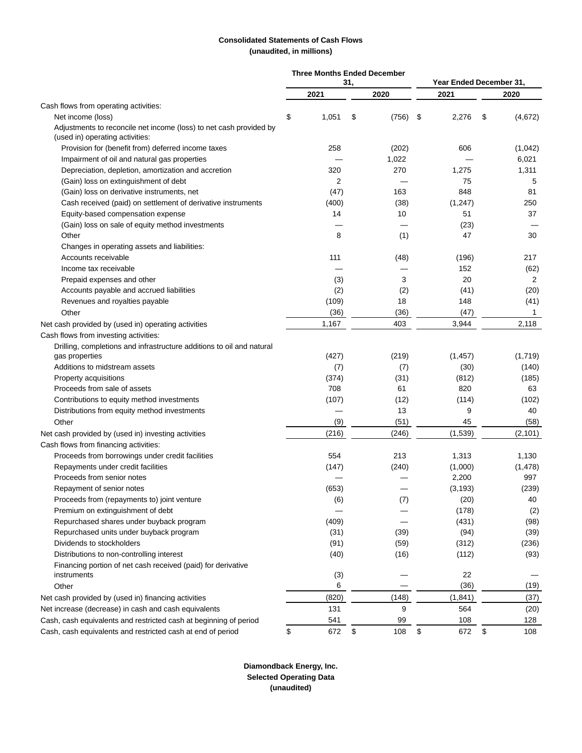# **Consolidated Statements of Cash Flows (unaudited, in millions)**

### **Three Months Ended December**

|                                                                                                             | 31,         |    |       | Year Ended December 31, |    |                      |
|-------------------------------------------------------------------------------------------------------------|-------------|----|-------|-------------------------|----|----------------------|
|                                                                                                             | 2021        |    | 2020  | 2021                    |    | 2020                 |
| Cash flows from operating activities:                                                                       |             |    |       |                         |    |                      |
| Net income (loss)                                                                                           | \$<br>1,051 | \$ | (756) | \$<br>2,276             | \$ | (4,672)              |
| Adjustments to reconcile net income (loss) to net cash provided by<br>(used in) operating activities:       |             |    |       |                         |    |                      |
| Provision for (benefit from) deferred income taxes                                                          | 258         |    | (202) | 606                     |    | (1,042)              |
| Impairment of oil and natural gas properties                                                                |             |    | 1,022 |                         |    | 6,021                |
| Depreciation, depletion, amortization and accretion                                                         | 320         |    | 270   | 1,275                   |    | 1,311                |
| (Gain) loss on extinguishment of debt                                                                       | 2           |    |       | 75                      |    | 5                    |
| (Gain) loss on derivative instruments, net                                                                  | (47)        |    | 163   | 848                     |    | 81                   |
| Cash received (paid) on settlement of derivative instruments                                                | (400)       |    | (38)  | (1, 247)                |    | 250                  |
| Equity-based compensation expense                                                                           | 14          |    | 10    | 51                      |    | 37                   |
| (Gain) loss on sale of equity method investments                                                            |             |    |       | (23)                    |    |                      |
| Other                                                                                                       | 8           |    | (1)   | 47                      |    | 30                   |
| Changes in operating assets and liabilities:                                                                |             |    |       |                         |    |                      |
| Accounts receivable                                                                                         | 111         |    | (48)  | (196)                   |    | 217                  |
| Income tax receivable                                                                                       |             |    |       | 152                     |    | (62)                 |
| Prepaid expenses and other                                                                                  | (3)         |    | 3     | 20                      |    | 2                    |
| Accounts payable and accrued liabilities                                                                    | (2)         |    | (2)   | (41)                    |    | (20)                 |
| Revenues and royalties payable                                                                              |             |    | 18    | 148                     |    |                      |
|                                                                                                             | (109)       |    | (36)  |                         |    | (41)<br>$\mathbf{1}$ |
| Other                                                                                                       | (36)        |    |       | (47)                    |    |                      |
| Net cash provided by (used in) operating activities                                                         | 1,167       |    | 403   | 3,944                   |    | 2,118                |
| Cash flows from investing activities:                                                                       |             |    |       |                         |    |                      |
| Drilling, completions and infrastructure additions to oil and natural                                       |             |    |       |                         |    |                      |
| gas properties                                                                                              | (427)       |    | (219) | (1, 457)                |    | (1,719)              |
| Additions to midstream assets                                                                               | (7)         |    | (7)   | (30)                    |    | (140)                |
| Property acquisitions                                                                                       | (374)       |    | (31)  | (812)                   |    | (185)                |
| Proceeds from sale of assets                                                                                | 708         |    | 61    | 820                     |    | 63                   |
| Contributions to equity method investments                                                                  | (107)       |    | (12)  | (114)                   |    | (102)                |
| Distributions from equity method investments                                                                | —           |    | 13    | 9                       |    | 40                   |
| Other                                                                                                       | (9)         |    | (51)  | 45                      |    | (58)                 |
| Net cash provided by (used in) investing activities                                                         | (216)       |    | (246) | (1,539)                 |    | (2, 101)             |
| Cash flows from financing activities:                                                                       |             |    |       |                         |    |                      |
| Proceeds from borrowings under credit facilities                                                            | 554         |    | 213   | 1,313                   |    | 1,130                |
| Repayments under credit facilities                                                                          | (147)       |    | (240) | (1,000)                 |    | (1, 478)             |
| Proceeds from senior notes                                                                                  |             |    |       | 2,200                   |    | 997                  |
| Repayment of senior notes                                                                                   | (653)       |    |       | (3, 193)                |    | (239)                |
| Proceeds from (repayments to) joint venture                                                                 | (6)         |    | (7)   | (20)                    |    | 40                   |
| Premium on extinguishment of debt                                                                           |             |    |       | (178)                   |    | (2)                  |
| Repurchased shares under buyback program                                                                    | (409)       |    |       | (431)                   |    | (98)                 |
| Repurchased units under buyback program                                                                     | (31)        |    | (39)  | (94)                    |    | (39)                 |
| Dividends to stockholders                                                                                   | (91)        |    | (59)  | (312)                   |    | (236)                |
| Distributions to non-controlling interest                                                                   | (40)        |    | (16)  | (112)                   |    | (93)                 |
| Financing portion of net cash received (paid) for derivative<br>instruments                                 | (3)         |    |       | 22                      |    |                      |
| Other                                                                                                       | 6           |    |       | (36)                    |    | (19)                 |
|                                                                                                             | (820)       |    | (148) | (1, 841)                |    | (37)                 |
| Net cash provided by (used in) financing activities<br>Net increase (decrease) in cash and cash equivalents | 131         |    | 9     | 564                     |    |                      |
|                                                                                                             |             |    | 99    | 108                     |    | (20)                 |
| Cash, cash equivalents and restricted cash at beginning of period                                           | 541         |    |       |                         |    | 128                  |
| Cash, cash equivalents and restricted cash at end of period                                                 | \$<br>672   | \$ | 108   | \$<br>672               | \$ | 108                  |

**Diamondback Energy, Inc. Selected Operating Data (unaudited)**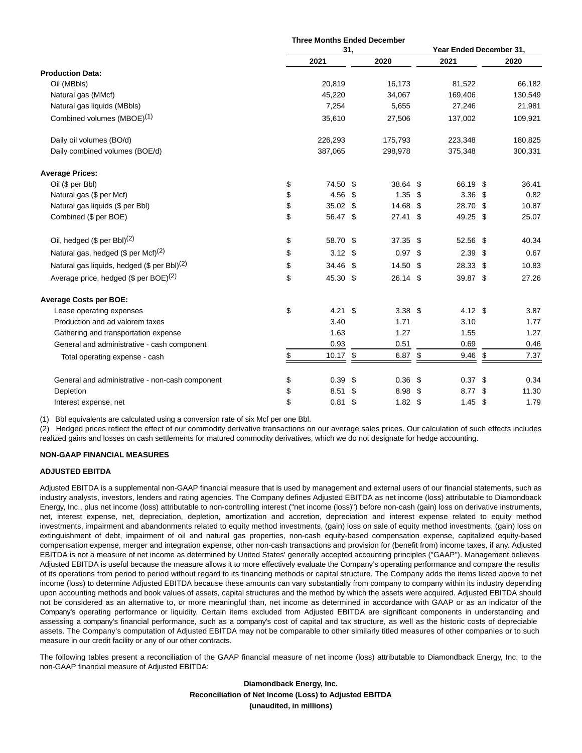|                                                         | <b>Three Months Ended December</b> |                   |    |                   |                         |                   |  |         |
|---------------------------------------------------------|------------------------------------|-------------------|----|-------------------|-------------------------|-------------------|--|---------|
|                                                         |                                    | 31,               |    |                   | Year Ended December 31, |                   |  |         |
|                                                         |                                    | 2021              |    | 2020              |                         | 2021              |  | 2020    |
| <b>Production Data:</b>                                 |                                    |                   |    |                   |                         |                   |  |         |
| Oil (MBbls)                                             |                                    | 20,819            |    | 16,173            |                         | 81,522            |  | 66,182  |
| Natural gas (MMcf)                                      |                                    | 45,220            |    | 34,067            |                         | 169,406           |  | 130,549 |
| Natural gas liquids (MBbls)                             |                                    | 7,254             |    | 5,655             |                         | 27,246            |  | 21,981  |
| Combined volumes (MBOE) <sup>(1)</sup>                  |                                    | 35,610            |    | 27,506            |                         | 137,002           |  | 109,921 |
| Daily oil volumes (BO/d)                                |                                    | 226,293           |    | 175,793           |                         | 223,348           |  | 180,825 |
| Daily combined volumes (BOE/d)                          |                                    | 387,065           |    | 298,978           |                         | 375,348           |  | 300,331 |
| <b>Average Prices:</b>                                  |                                    |                   |    |                   |                         |                   |  |         |
| Oil (\$ per Bbl)                                        | \$                                 | 74.50 \$          |    | 38.64 \$          |                         | 66.19 \$          |  | 36.41   |
| Natural gas (\$ per Mcf)                                | \$                                 | $4.56$ \$         |    | $1.35$ \$         |                         | $3.36$ \$         |  | 0.82    |
| Natural gas liquids (\$ per Bbl)                        | \$                                 | 35.02 \$          |    | 14.68 \$          |                         | 28.70 \$          |  | 10.87   |
| Combined (\$ per BOE)                                   | \$                                 | 56.47 \$          |    | $27.41$ \$        |                         | 49.25 \$          |  | 25.07   |
| Oil, hedged $(\$$ per Bbl $)(2)$                        | \$                                 | 58.70 \$          |    | 37.35 \$          |                         | 52.56 \$          |  | 40.34   |
| Natural gas, hedged (\$ per Mcf) <sup>(2)</sup>         | \$                                 | 3.12 <sup>5</sup> |    | $0.97$ \$         |                         | $2.39$ \$         |  | 0.67    |
| Natural gas liquids, hedged (\$ per Bbl) <sup>(2)</sup> | \$                                 | 34.46 \$          |    | 14.50 \$          |                         | 28.33 \$          |  | 10.83   |
| Average price, hedged $(\$$ per BOE $)^{(2)}$           | \$                                 | 45.30 \$          |    | 26.14 \$          |                         | 39.87 \$          |  | 27.26   |
| <b>Average Costs per BOE:</b>                           |                                    |                   |    |                   |                         |                   |  |         |
| Lease operating expenses                                | \$                                 | $4.21$ \$         |    | $3.38$ \$         |                         | $4.12$ \$         |  | 3.87    |
| Production and ad valorem taxes                         |                                    | 3.40              |    | 1.71              |                         | 3.10              |  | 1.77    |
| Gathering and transportation expense                    |                                    | 1.63              |    | 1.27              |                         | 1.55              |  | 1.27    |
| General and administrative - cash component             |                                    | 0.93              |    | 0.51              |                         | 0.69              |  | 0.46    |
| Total operating expense - cash                          | \$                                 | 10.17             | \$ | $6.87$ \$         |                         | $9.46$ \$         |  | 7.37    |
| General and administrative - non-cash component         | \$                                 | 0.39              | \$ | $0.36$ \$         |                         | 0.37 <sup>5</sup> |  | 0.34    |
| Depletion                                               | \$                                 | 8.51              | \$ | $8.98$ \$         |                         | $8.77$ \$         |  | 11.30   |
| Interest expense, net                                   | \$                                 | 0.81              | \$ | 1.82 <sup>5</sup> |                         | $1.45$ \$         |  | 1.79    |

(1) Bbl equivalents are calculated using a conversion rate of six Mcf per one Bbl.

(2) Hedged prices reflect the effect of our commodity derivative transactions on our average sales prices. Our calculation of such effects includes realized gains and losses on cash settlements for matured commodity derivatives, which we do not designate for hedge accounting.

# **NON-GAAP FINANCIAL MEASURES**

# **ADJUSTED EBITDA**

Adjusted EBITDA is a supplemental non-GAAP financial measure that is used by management and external users of our financial statements, such as industry analysts, investors, lenders and rating agencies. The Company defines Adjusted EBITDA as net income (loss) attributable to Diamondback Energy, Inc., plus net income (loss) attributable to non-controlling interest ("net income (loss)") before non-cash (gain) loss on derivative instruments, net, interest expense, net, depreciation, depletion, amortization and accretion, depreciation and interest expense related to equity method investments, impairment and abandonments related to equity method investments, (gain) loss on sale of equity method investments, (gain) loss on extinguishment of debt, impairment of oil and natural gas properties, non-cash equity-based compensation expense, capitalized equity-based compensation expense, merger and integration expense, other non-cash transactions and provision for (benefit from) income taxes, if any. Adjusted EBITDA is not a measure of net income as determined by United States' generally accepted accounting principles ("GAAP"). Management believes Adjusted EBITDA is useful because the measure allows it to more effectively evaluate the Company's operating performance and compare the results of its operations from period to period without regard to its financing methods or capital structure. The Company adds the items listed above to net income (loss) to determine Adjusted EBITDA because these amounts can vary substantially from company to company within its industry depending upon accounting methods and book values of assets, capital structures and the method by which the assets were acquired. Adjusted EBITDA should not be considered as an alternative to, or more meaningful than, net income as determined in accordance with GAAP or as an indicator of the Company's operating performance or liquidity. Certain items excluded from Adjusted EBITDA are significant components in understanding and assessing a company's financial performance, such as a company's cost of capital and tax structure, as well as the historic costs of depreciable assets. The Company's computation of Adjusted EBITDA may not be comparable to other similarly titled measures of other companies or to such measure in our credit facility or any of our other contracts.

The following tables present a reconciliation of the GAAP financial measure of net income (loss) attributable to Diamondback Energy, Inc. to the non-GAAP financial measure of Adjusted EBITDA:

> **Diamondback Energy, Inc. Reconciliation of Net Income (Loss) to Adjusted EBITDA (unaudited, in millions)**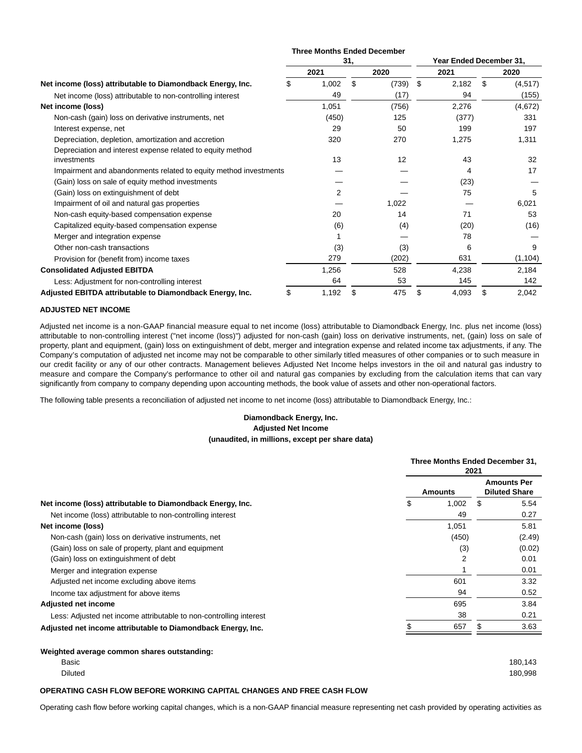|                                                                  | <b>Three Months Ended December</b><br>31, |    |       |    | Year Ended December 31, |    |          |  |
|------------------------------------------------------------------|-------------------------------------------|----|-------|----|-------------------------|----|----------|--|
|                                                                  | 2021                                      |    | 2020  |    | 2021                    |    | 2020     |  |
| Net income (loss) attributable to Diamondback Energy, Inc.       | 1,002                                     | \$ | (739) | \$ | 2,182                   | \$ | (4, 517) |  |
| Net income (loss) attributable to non-controlling interest       | 49                                        |    | (17)  |    | 94                      |    | (155)    |  |
| Net income (loss)                                                | 1,051                                     |    | (756) |    | 2,276                   |    | (4,672)  |  |
| Non-cash (gain) loss on derivative instruments, net              | (450)                                     |    | 125   |    | (377)                   |    | 331      |  |
| Interest expense, net                                            | 29                                        |    | 50    |    | 199                     |    | 197      |  |
| Depreciation, depletion, amortization and accretion              | 320                                       |    | 270   |    | 1,275                   |    | 1,311    |  |
| Depreciation and interest expense related to equity method       |                                           |    |       |    |                         |    |          |  |
| investments                                                      | 13                                        |    | 12    |    | 43                      |    | 32       |  |
| Impairment and abandonments related to equity method investments |                                           |    |       |    | 4                       |    | 17       |  |
| (Gain) loss on sale of equity method investments                 |                                           |    |       |    | (23)                    |    |          |  |
| (Gain) loss on extinguishment of debt                            | 2                                         |    |       |    | 75                      |    | 5        |  |
| Impairment of oil and natural gas properties                     |                                           |    | 1,022 |    |                         |    | 6,021    |  |
| Non-cash equity-based compensation expense                       | 20                                        |    | 14    |    | 71                      |    | 53       |  |
| Capitalized equity-based compensation expense                    | (6)                                       |    | (4)   |    | (20)                    |    | (16)     |  |
| Merger and integration expense                                   |                                           |    |       |    | 78                      |    |          |  |
| Other non-cash transactions                                      | (3)                                       |    | (3)   |    | 6                       |    | 9        |  |
| Provision for (benefit from) income taxes                        | 279                                       |    | (202) |    | 631                     |    | (1, 104) |  |
| <b>Consolidated Adjusted EBITDA</b>                              | 1,256                                     |    | 528   |    | 4,238                   |    | 2,184    |  |
| Less: Adjustment for non-controlling interest                    | 64                                        |    | 53    |    | 145                     |    | 142      |  |
| Adjusted EBITDA attributable to Diamondback Energy, Inc.         | \$<br>1,192                               | \$ | 475   | S  | 4,093                   | \$ | 2,042    |  |

### **ADJUSTED NET INCOME**

Adjusted net income is a non-GAAP financial measure equal to net income (loss) attributable to Diamondback Energy, Inc. plus net income (loss) attributable to non-controlling interest ("net income (loss)") adjusted for non-cash (gain) loss on derivative instruments, net, (gain) loss on sale of property, plant and equipment, (gain) loss on extinguishment of debt, merger and integration expense and related income tax adjustments, if any. The Company's computation of adjusted net income may not be comparable to other similarly titled measures of other companies or to such measure in our credit facility or any of our other contracts. Management believes Adjusted Net Income helps investors in the oil and natural gas industry to measure and compare the Company's performance to other oil and natural gas companies by excluding from the calculation items that can vary significantly from company to company depending upon accounting methods, the book value of assets and other non-operational factors.

The following table presents a reconciliation of adjusted net income to net income (loss) attributable to Diamondback Energy, Inc.:

## **Diamondback Energy, Inc. Adjusted Net Income (unaudited, in millions, except per share data)**

|                                                                    | Three Months Ended December 31,<br>2021 |    |                                            |  |
|--------------------------------------------------------------------|-----------------------------------------|----|--------------------------------------------|--|
|                                                                    | <b>Amounts</b>                          |    | <b>Amounts Per</b><br><b>Diluted Share</b> |  |
| Net income (loss) attributable to Diamondback Energy, Inc.         | \$<br>1,002                             | \$ | 5.54                                       |  |
| Net income (loss) attributable to non-controlling interest         | 49                                      |    | 0.27                                       |  |
| Net income (loss)                                                  | 1.051                                   |    | 5.81                                       |  |
| Non-cash (gain) loss on derivative instruments, net                | (450)                                   |    | (2.49)                                     |  |
| (Gain) loss on sale of property, plant and equipment               | (3)                                     |    | (0.02)                                     |  |
| (Gain) loss on extinguishment of debt                              | 2                                       |    | 0.01                                       |  |
| Merger and integration expense                                     |                                         |    | 0.01                                       |  |
| Adjusted net income excluding above items                          | 601                                     |    | 3.32                                       |  |
| Income tax adjustment for above items                              | 94                                      |    | 0.52                                       |  |
| <b>Adjusted net income</b>                                         | 695                                     |    | 3.84                                       |  |
| Less: Adjusted net income attributable to non-controlling interest | 38                                      |    | 0.21                                       |  |
| Adjusted net income attributable to Diamondback Energy, Inc.       | 657                                     |    | 3.63                                       |  |
| Weighted average common shares outstanding:                        |                                         |    |                                            |  |
| Basic                                                              |                                         |    | 180,143                                    |  |

| Dasiu                         | 100,140 |
|-------------------------------|---------|
| <b>Diluted</b><br>- - - - - - | 180,998 |
|                               |         |

## **OPERATING CASH FLOW BEFORE WORKING CAPITAL CHANGES AND FREE CASH FLOW**

Operating cash flow before working capital changes, which is a non-GAAP financial measure representing net cash provided by operating activities as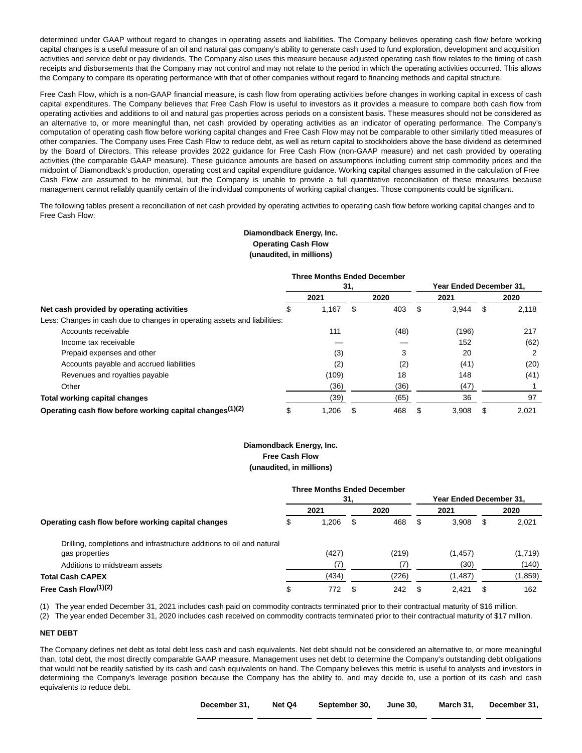determined under GAAP without regard to changes in operating assets and liabilities. The Company believes operating cash flow before working capital changes is a useful measure of an oil and natural gas company's ability to generate cash used to fund exploration, development and acquisition activities and service debt or pay dividends. The Company also uses this measure because adjusted operating cash flow relates to the timing of cash receipts and disbursements that the Company may not control and may not relate to the period in which the operating activities occurred. This allows the Company to compare its operating performance with that of other companies without regard to financing methods and capital structure.

Free Cash Flow, which is a non-GAAP financial measure, is cash flow from operating activities before changes in working capital in excess of cash capital expenditures. The Company believes that Free Cash Flow is useful to investors as it provides a measure to compare both cash flow from operating activities and additions to oil and natural gas properties across periods on a consistent basis. These measures should not be considered as an alternative to, or more meaningful than, net cash provided by operating activities as an indicator of operating performance. The Company's computation of operating cash flow before working capital changes and Free Cash Flow may not be comparable to other similarly titled measures of other companies. The Company uses Free Cash Flow to reduce debt, as well as return capital to stockholders above the base dividend as determined by the Board of Directors. This release provides 2022 guidance for Free Cash Flow (non-GAAP measure) and net cash provided by operating activities (the comparable GAAP measure). These guidance amounts are based on assumptions including current strip commodity prices and the midpoint of Diamondback's production, operating cost and capital expenditure guidance. Working capital changes assumed in the calculation of Free Cash Flow are assumed to be minimal, but the Company is unable to provide a full quantitative reconciliation of these measures because management cannot reliably quantify certain of the individual components of working capital changes. Those components could be significant.

The following tables present a reconciliation of net cash provided by operating activities to operating cash flow before working capital changes and to Free Cash Flow:

# **Diamondback Energy, Inc. Operating Cash Flow (unaudited, in millions)**

|                                                                           | <b>Three Months Ended December</b> |     |      |     |                                |   |       |
|---------------------------------------------------------------------------|------------------------------------|-----|------|-----|--------------------------------|---|-------|
|                                                                           |                                    | 31, |      |     | <b>Year Ended December 31.</b> |   |       |
|                                                                           | 2021                               |     | 2020 |     | 2021                           |   | 2020  |
| Net cash provided by operating activities                                 | 1,167                              | S   | 403  | \$. | 3,944                          | S | 2.118 |
| Less: Changes in cash due to changes in operating assets and liabilities: |                                    |     |      |     |                                |   |       |
| Accounts receivable                                                       | 111                                |     | (48) |     | (196)                          |   | 217   |
| Income tax receivable                                                     |                                    |     |      |     | 152                            |   | (62)  |
| Prepaid expenses and other                                                | (3)                                |     | 3    |     | 20                             |   | 2     |
| Accounts payable and accrued liabilities                                  | (2)                                |     | (2)  |     | (41)                           |   | (20)  |
| Revenues and royalties payable                                            | (109)                              |     | 18   |     | 148                            |   | (41)  |
| Other                                                                     | (36)                               |     | (36) |     | (47)                           |   |       |
| Total working capital changes                                             | (39)                               |     | (65) |     | 36                             |   | 97    |
| Operating cash flow before working capital changes <sup>(1)(2)</sup>      | 1,206                              |     | 468  |     | 3,908                          |   | 2.021 |

### **Diamondback Energy, Inc. Free Cash Flow (unaudited, in millions)**

|                                                                       | <b>Three Months Ended December</b><br>31, |       |  |       | Year Ended December 31, |          |     |          |  |
|-----------------------------------------------------------------------|-------------------------------------------|-------|--|-------|-------------------------|----------|-----|----------|--|
|                                                                       |                                           | 2021  |  | 2020  |                         | 2021     |     | 2020     |  |
| Operating cash flow before working capital changes                    |                                           | 1.206 |  | 468   | S                       | 3,908    | \$. | 2,021    |  |
| Drilling, completions and infrastructure additions to oil and natural |                                           |       |  |       |                         |          |     |          |  |
| gas properties                                                        |                                           | (427) |  | (219) |                         | (1, 457) |     | (1,719)  |  |
| Additions to midstream assets                                         |                                           | (7)   |  | '7)   |                         | (30)     |     | (140)    |  |
| <b>Total Cash CAPEX</b>                                               |                                           | (434) |  | (226) |                         | (1,487)  |     | (1, 859) |  |
| Free Cash Flow <sup>(1)(2)</sup>                                      |                                           | 772   |  | 242   | S.                      | 2,421    |     | 162      |  |

(1) The year ended December 31, 2021 includes cash paid on commodity contracts terminated prior to their contractual maturity of \$16 million.

(2) The year ended December 31, 2020 includes cash received on commodity contracts terminated prior to their contractual maturity of \$17 million.

#### **NET DEBT**

The Company defines net debt as total debt less cash and cash equivalents. Net debt should not be considered an alternative to, or more meaningful than, total debt, the most directly comparable GAAP measure. Management uses net debt to determine the Company's outstanding debt obligations that would not be readily satisfied by its cash and cash equivalents on hand. The Company believes this metric is useful to analysts and investors in determining the Company's leverage position because the Company has the ability to, and may decide to, use a portion of its cash and cash equivalents to reduce debt.

| December 31. | Net Q4 | September 30. | <b>June 30.</b> | March 31. | December 31, |
|--------------|--------|---------------|-----------------|-----------|--------------|
|              |        |               |                 |           |              |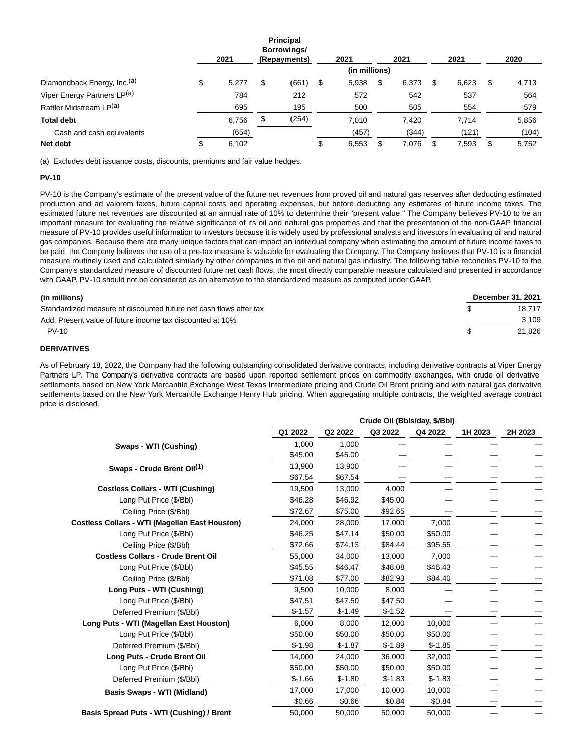|                                         |             | <b>Principal</b><br>Borrowings/ |               |       |       |   |       |
|-----------------------------------------|-------------|---------------------------------|---------------|-------|-------|---|-------|
|                                         | 2021        | (Repayments)                    | 2021          | 2021  | 2021  |   | 2020  |
|                                         |             |                                 | (in millions) |       |       |   |       |
| Diamondback Energy, Inc. <sup>(a)</sup> | \$<br>5.277 | \$<br>(661)                     | \$<br>5,938   | 6,373 | 6,623 | S | 4,713 |
| Viper Energy Partners LP(a)             | 784         | 212                             | 572           | 542   | 537   |   | 564   |
| Rattler Midstream LP <sup>(a)</sup>     | 695         | 195                             | 500           | 505   | 554   |   | 579   |
| <b>Total debt</b>                       | 6,756       | (254)                           | 7,010         | 7.420 | 7.714 |   | 5,856 |
| Cash and cash equivalents               | (654)       |                                 | (457)         | (344) | (121) |   | (104) |
| Net debt                                | \$<br>6.102 |                                 | \$<br>6,553   | 7.076 | 7,593 |   | 5.752 |

(a) Excludes debt issuance costs, discounts, premiums and fair value hedges.

### **PV-10**

PV-10 is the Company's estimate of the present value of the future net revenues from proved oil and natural gas reserves after deducting estimated production and ad valorem taxes, future capital costs and operating expenses, but before deducting any estimates of future income taxes. The estimated future net revenues are discounted at an annual rate of 10% to determine their "present value." The Company believes PV-10 to be an important measure for evaluating the relative significance of its oil and natural gas properties and that the presentation of the non-GAAP financial measure of PV-10 provides useful information to investors because it is widely used by professional analysts and investors in evaluating oil and natural gas companies. Because there are many unique factors that can impact an individual company when estimating the amount of future income taxes to be paid, the Company believes the use of a pre-tax measure is valuable for evaluating the Company. The Company believes that PV-10 is a financial measure routinely used and calculated similarly by other companies in the oil and natural gas industry. The following table reconciles PV-10 to the Company's standardized measure of discounted future net cash flows, the most directly comparable measure calculated and presented in accordance with GAAP. PV-10 should not be considered as an alternative to the standardized measure as computed under GAAP.

| (in millions)                                                      | December 31, 2021 |
|--------------------------------------------------------------------|-------------------|
| Standardized measure of discounted future net cash flows after tax | 18.717            |
| Add: Present value of future income tax discounted at 10%          | 3.109             |
| $PV-10$                                                            | 21.826            |

#### **DERIVATIVES**

As of February 18, 2022, the Company had the following outstanding consolidated derivative contracts, including derivative contracts at Viper Energy Partners LP. The Company's derivative contracts are based upon reported settlement prices on commodity exchanges, with crude oil derivative settlements based on New York Mercantile Exchange West Texas Intermediate pricing and Crude Oil Brent pricing and with natural gas derivative settlements based on the New York Mercantile Exchange Henry Hub pricing. When aggregating multiple contracts, the weighted average contract price is disclosed.

|                                                       | Crude Oil (Bbls/day, \$/Bbl) |          |          |          |         |         |  |  |
|-------------------------------------------------------|------------------------------|----------|----------|----------|---------|---------|--|--|
|                                                       | Q1 2022                      | Q2 2022  | Q3 2022  | Q4 2022  | 1H 2023 | 2H 2023 |  |  |
| Swaps - WTI (Cushing)                                 | 1,000                        | 1,000    |          |          |         |         |  |  |
|                                                       | \$45.00                      | \$45.00  |          |          |         |         |  |  |
| Swaps - Crude Brent Oil(1)                            | 13,900                       | 13,900   |          |          |         |         |  |  |
|                                                       | \$67.54                      | \$67.54  |          |          |         |         |  |  |
| <b>Costless Collars - WTI (Cushing)</b>               | 19,500                       | 13,000   | 4,000    |          |         |         |  |  |
| Long Put Price (\$/Bbl)                               | \$46.28                      | \$46.92  | \$45.00  |          |         |         |  |  |
| Ceiling Price (\$/Bbl)                                | \$72.67                      | \$75.00  | \$92.65  |          |         |         |  |  |
| <b>Costless Collars - WTI (Magellan East Houston)</b> | 24.000                       | 28.000   | 17.000   | 7.000    |         |         |  |  |
| Long Put Price (\$/Bbl)                               | \$46.25                      | \$47.14  | \$50.00  | \$50.00  |         |         |  |  |
| Ceiling Price (\$/Bbl)                                | \$72.66                      | \$74.13  | \$84.44  | \$95.55  |         |         |  |  |
| <b>Costless Collars - Crude Brent Oil</b>             | 55,000                       | 34,000   | 13,000   | 7.000    |         |         |  |  |
| Long Put Price (\$/Bbl)                               | \$45.55                      | \$46.47  | \$48.08  | \$46.43  |         |         |  |  |
| Ceiling Price (\$/Bbl)                                | \$71.08                      | \$77.00  | \$82.93  | \$84.40  |         |         |  |  |
| Long Puts - WTI (Cushing)                             | 9,500                        | 10,000   | 8,000    |          |         |         |  |  |
| Long Put Price (\$/Bbl)                               | \$47.51                      | \$47.50  | \$47.50  |          |         |         |  |  |
| Deferred Premium (\$/Bbl)                             | $$-1.57$                     | $$-1.49$ | $$-1.52$ |          |         |         |  |  |
| Long Puts - WTI (Magellan East Houston)               | 6,000                        | 8.000    | 12,000   | 10.000   |         |         |  |  |
| Long Put Price (\$/Bbl)                               | \$50.00                      | \$50.00  | \$50.00  | \$50.00  |         |         |  |  |
| Deferred Premium (\$/Bbl)                             | $$-1.98$                     | $$-1.87$ | $$-1.89$ | $$-1.85$ |         |         |  |  |
| Long Puts - Crude Brent Oil                           | 14,000                       | 24,000   | 36,000   | 32,000   |         |         |  |  |
| Long Put Price (\$/Bbl)                               | \$50.00                      | \$50.00  | \$50.00  | \$50.00  |         |         |  |  |
| Deferred Premium (\$/Bbl)                             | $$-1.66$                     | $$-1.80$ | $$-1.83$ | $$-1.83$ |         |         |  |  |
| <b>Basis Swaps - WTI (Midland)</b>                    | 17,000                       | 17,000   | 10,000   | 10,000   |         |         |  |  |
|                                                       | \$0.66                       | \$0.66   | \$0.84   | \$0.84   |         |         |  |  |
| Basis Spread Puts - WTI (Cushing) / Brent             | 50,000                       | 50,000   | 50,000   | 50,000   |         |         |  |  |